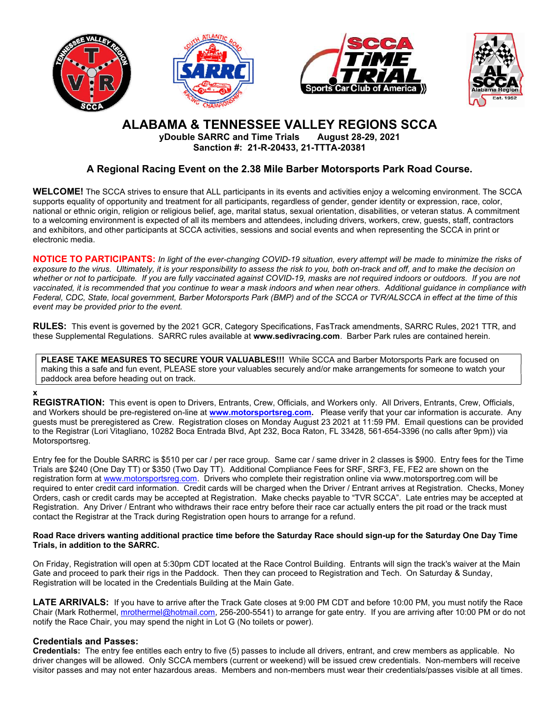







# ALABAMA & TENNESSEE VALLEY REGIONS SCCA

yDouble SARRC and Time Trials August 28-29, 2021 Sanction #: 21-R-20433, 21-TTTA-20381

# A Regional Racing Event on the 2.38 Mile Barber Motorsports Park Road Course.

WELCOME! The SCCA strives to ensure that ALL participants in its events and activities enjoy a welcoming environment. The SCCA supports equality of opportunity and treatment for all participants, regardless of gender, gender identity or expression, race, color, national or ethnic origin, religion or religious belief, age, marital status, sexual orientation, disabilities, or veteran status. A commitment to a welcoming environment is expected of all its members and attendees, including drivers, workers, crew, guests, staff, contractors and exhibitors, and other participants at SCCA activities, sessions and social events and when representing the SCCA in print or electronic media.

NOTICE TO PARTICIPANTS: In light of the ever-changing COVID-19 situation, every attempt will be made to minimize the risks of exposure to the virus. Ultimately, it is your responsibility to assess the risk to you, both on-track and off, and to make the decision on whether or not to participate. If you are fully vaccinated against COVID-19, masks are not required indoors or outdoors. If you are not vaccinated, it is recommended that you continue to wear a mask indoors and when near others. Additional guidance in compliance with Federal, CDC, State, local government, Barber Motorsports Park (BMP) and of the SCCA or TVR/ALSCCA in effect at the time of this event may be provided prior to the event.

RULES: This event is governed by the 2021 GCR, Category Specifications, FasTrack amendments, SARRC Rules, 2021 TTR, and these Supplemental Regulations. SARRC rules available at www.sedivracing.com. Barber Park rules are contained herein.

PLEASE TAKE MEASURES TO SECURE YOUR VALUABLES!!! While SCCA and Barber Motorsports Park are focused on making this a safe and fun event, PLEASE store your valuables securely and/or make arrangements for someone to watch your paddock area before heading out on track.

## x

REGISTRATION: This event is open to Drivers, Entrants, Crew, Officials, and Workers only. All Drivers, Entrants, Crew, Officials, and Workers should be pre-registered on-line at www.motorsportsreg.com. Please verify that your car information is accurate. Any guests must be preregistered as Crew. Registration closes on Monday August 23 2021 at 11:59 PM. Email questions can be provided to the Registrar (Lori Vitagliano, 10282 Boca Entrada Blvd, Apt 232, Boca Raton, FL 33428, 561-654-3396 (no calls after 9pm)) via Motorsportsreg.

Entry fee for the Double SARRC is \$510 per car / per race group. Same car / same driver in 2 classes is \$900. Entry fees for the Time Trials are \$240 (One Day TT) or \$350 (Two Day TT). Additional Compliance Fees for SRF, SRF3, FE, FE2 are shown on the registration form at www.motorsportsreg.com. Drivers who complete their registration online via www.motorsportreg.com will be required to enter credit card information. Credit cards will be charged when the Driver / Entrant arrives at Registration. Checks, Money Orders, cash or credit cards may be accepted at Registration. Make checks payable to "TVR SCCA". Late entries may be accepted at Registration. Any Driver / Entrant who withdraws their race entry before their race car actually enters the pit road or the track must contact the Registrar at the Track during Registration open hours to arrange for a refund.

#### Road Race drivers wanting additional practice time before the Saturday Race should sign-up for the Saturday One Day Time Trials, in addition to the SARRC.

On Friday, Registration will open at 5:30pm CDT located at the Race Control Building. Entrants will sign the track's waiver at the Main Gate and proceed to park their rigs in the Paddock. Then they can proceed to Registration and Tech. On Saturday & Sunday, Registration will be located in the Credentials Building at the Main Gate.

LATE ARRIVALS: If you have to arrive after the Track Gate closes at 9:00 PM CDT and before 10:00 PM, you must notify the Race Chair (Mark Rothermel, mrothermel@hotmail.com, 256-200-5541) to arrange for gate entry. If you are arriving after 10:00 PM or do not notify the Race Chair, you may spend the night in Lot G (No toilets or power).

## Credentials and Passes:

Credentials: The entry fee entitles each entry to five (5) passes to include all drivers, entrant, and crew members as applicable. No driver changes will be allowed. Only SCCA members (current or weekend) will be issued crew credentials. Non-members will receive visitor passes and may not enter hazardous areas. Members and non-members must wear their credentials/passes visible at all times.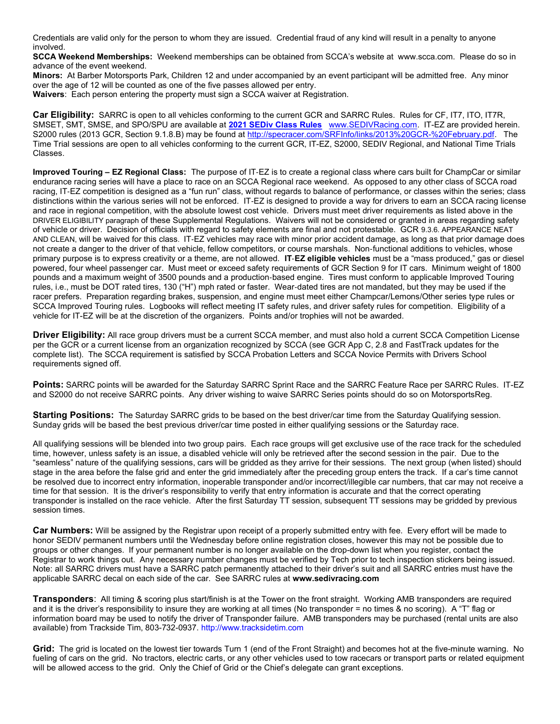Credentials are valid only for the person to whom they are issued. Credential fraud of any kind will result in a penalty to anyone involved.

SCCA Weekend Memberships: Weekend memberships can be obtained from SCCA's website at www.scca.com. Please do so in advance of the event weekend.

Minors: At Barber Motorsports Park, Children 12 and under accompanied by an event participant will be admitted free. Any minor over the age of 12 will be counted as one of the five passes allowed per entry.

Waivers: Each person entering the property must sign a SCCA waiver at Registration.

Car Eligibility: SARRC is open to all vehicles conforming to the current GCR and SARRC Rules. Rules for CF, IT7, ITO, IT7R, SMSET, SMT, SMSE, and SPO/SPU are available at 2021 SEDIv Class Rules www.SEDIVRacing.com. IT-EZ are provided herein. S2000 rules (2013 GCR, Section 9.1.8.B) may be found at http://specracer.com/SRFInfo/links/2013%20GCR-%20February.pdf. The Time Trial sessions are open to all vehicles conforming to the current GCR, IT-EZ, S2000, SEDIV Regional, and National Time Trials Classes.

Improved Touring – EZ Regional Class: The purpose of IT-EZ is to create a regional class where cars built for ChampCar or similar endurance racing series will have a place to race on an SCCA Regional race weekend. As opposed to any other class of SCCA road racing, IT-EZ competition is designed as a "fun run" class, without regards to balance of performance, or classes within the series; class distinctions within the various series will not be enforced. IT-EZ is designed to provide a way for drivers to earn an SCCA racing license and race in regional competition, with the absolute lowest cost vehicle. Drivers must meet driver requirements as listed above in the DRIVER ELIGIBILITY paragraph of these Supplemental Regulations. Waivers will not be considered or granted in areas regarding safety of vehicle or driver. Decision of officials with regard to safety elements are final and not protestable. GCR 9.3.6. APPEARANCE NEAT AND CLEAN, will be waived for this class. IT-EZ vehicles may race with minor prior accident damage, as long as that prior damage does not create a danger to the driver of that vehicle, fellow competitors, or course marshals. Non-functional additions to vehicles, whose primary purpose is to express creativity or a theme, are not allowed. IT-EZ eligible vehicles must be a "mass produced," gas or diesel powered, four wheel passenger car. Must meet or exceed safety requirements of GCR Section 9 for IT cars. Minimum weight of 1800 pounds and a maximum weight of 3500 pounds and a production-based engine. Tires must conform to applicable Improved Touring rules, i.e., must be DOT rated tires, 130 ("H") mph rated or faster. Wear-dated tires are not mandated, but they may be used if the racer prefers. Preparation regarding brakes, suspension, and engine must meet either Champcar/Lemons/Other series type rules or SCCA Improved Touring rules. Logbooks will reflect meeting IT safety rules, and driver safety rules for competition. Eligibility of a vehicle for IT-EZ will be at the discretion of the organizers. Points and/or trophies will not be awarded.

**Driver Eligibility:** All race group drivers must be a current SCCA member, and must also hold a current SCCA Competition License per the GCR or a current license from an organization recognized by SCCA (see GCR App C, 2.8 and FastTrack updates for the complete list). The SCCA requirement is satisfied by SCCA Probation Letters and SCCA Novice Permits with Drivers School requirements signed off.

Points: SARRC points will be awarded for the Saturday SARRC Sprint Race and the SARRC Feature Race per SARRC Rules. IT-EZ and S2000 do not receive SARRC points. Any driver wishing to waive SARRC Series points should do so on MotorsportsReg.

Starting Positions: The Saturday SARRC grids to be based on the best driver/car time from the Saturday Qualifying session. Sunday grids will be based the best previous driver/car time posted in either qualifying sessions or the Saturday race.

All qualifying sessions will be blended into two group pairs. Each race groups will get exclusive use of the race track for the scheduled time, however, unless safety is an issue, a disabled vehicle will only be retrieved after the second session in the pair. Due to the "seamless" nature of the qualifying sessions, cars will be gridded as they arrive for their sessions. The next group (when listed) should stage in the area before the false grid and enter the grid immediately after the preceding group enters the track. If a car's time cannot be resolved due to incorrect entry information, inoperable transponder and/or incorrect/illegible car numbers, that car may not receive a time for that session. It is the driver's responsibility to verify that entry information is accurate and that the correct operating transponder is installed on the race vehicle. After the first Saturday TT session, subsequent TT sessions may be gridded by previous session times.

Car Numbers: Will be assigned by the Registrar upon receipt of a properly submitted entry with fee. Every effort will be made to honor SEDIV permanent numbers until the Wednesday before online registration closes, however this may not be possible due to groups or other changes. If your permanent number is no longer available on the drop-down list when you register, contact the Registrar to work things out. Any necessary number changes must be verified by Tech prior to tech inspection stickers being issued. Note: all SARRC drivers must have a SARRC patch permanently attached to their driver's suit and all SARRC entries must have the applicable SARRC decal on each side of the car. See SARRC rules at www.sedivracing.com

Transponders: All timing & scoring plus start/finish is at the Tower on the front straight. Working AMB transponders are required and it is the driver's responsibility to insure they are working at all times (No transponder = no times & no scoring). A "T" flag or information board may be used to notify the driver of Transponder failure. AMB transponders may be purchased (rental units are also available) from Trackside Tim, 803-732-0937. http://www.tracksidetim.com

Grid: The grid is located on the lowest tier towards Turn 1 (end of the Front Straight) and becomes hot at the five-minute warning. No fueling of cars on the grid. No tractors, electric carts, or any other vehicles used to tow racecars or transport parts or related equipment will be allowed access to the grid. Only the Chief of Grid or the Chief's delegate can grant exceptions.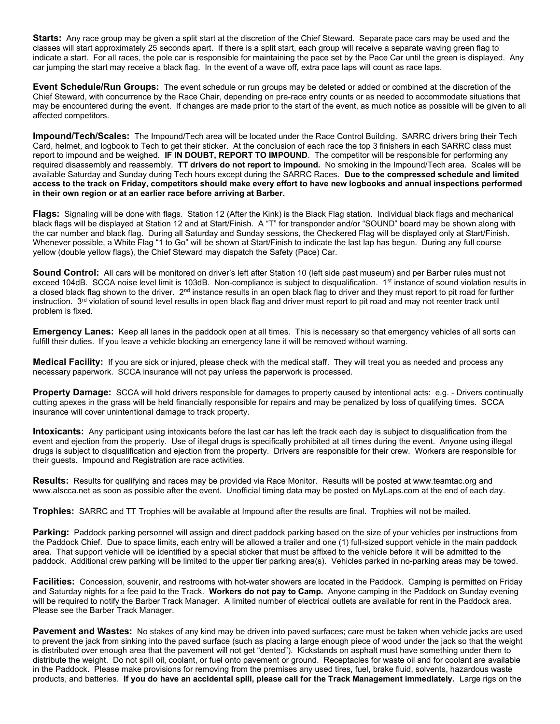Starts: Any race group may be given a split start at the discretion of the Chief Steward. Separate pace cars may be used and the classes will start approximately 25 seconds apart. If there is a split start, each group will receive a separate waving green flag to indicate a start. For all races, the pole car is responsible for maintaining the pace set by the Pace Car until the green is displayed. Any car jumping the start may receive a black flag. In the event of a wave off, extra pace laps will count as race laps.

Event Schedule/Run Groups: The event schedule or run groups may be deleted or added or combined at the discretion of the Chief Steward, with concurrence by the Race Chair, depending on pre-race entry counts or as needed to accommodate situations that may be encountered during the event. If changes are made prior to the start of the event, as much notice as possible will be given to all affected competitors.

Impound/Tech/Scales: The Impound/Tech area will be located under the Race Control Building. SARRC drivers bring their Tech Card, helmet, and logbook to Tech to get their sticker. At the conclusion of each race the top 3 finishers in each SARRC class must report to impound and be weighed. IF IN DOUBT, REPORT TO IMPOUND. The competitor will be responsible for performing any required disassembly and reassembly. TT drivers do not report to impound. No smoking in the Impound/Tech area. Scales will be available Saturday and Sunday during Tech hours except during the SARRC Races. Due to the compressed schedule and limited access to the track on Friday, competitors should make every effort to have new logbooks and annual inspections performed in their own region or at an earlier race before arriving at Barber.

Flags: Signaling will be done with flags. Station 12 (After the Kink) is the Black Flag station. Individual black flags and mechanical black flags will be displayed at Station 12 and at Start/Finish. A "T" for transponder and/or "SOUND" board may be shown along with the car number and black flag. During all Saturday and Sunday sessions, the Checkered Flag will be displayed only at Start/Finish. Whenever possible, a White Flag "1 to Go" will be shown at Start/Finish to indicate the last lap has begun. During any full course yellow (double yellow flags), the Chief Steward may dispatch the Safety (Pace) Car.

Sound Control: All cars will be monitored on driver's left after Station 10 (left side past museum) and per Barber rules must not exceed 104dB. SCCA noise level limit is 103dB. Non-compliance is subject to disqualification. 1<sup>st</sup> instance of sound violation results in a closed black flag shown to the driver. 2<sup>nd</sup> instance results in an open black flag to driver and they must report to pit road for further instruction. 3<sup>rd</sup> violation of sound level results in open black flag and driver must report to pit road and may not reenter track until problem is fixed.

Emergency Lanes: Keep all lanes in the paddock open at all times. This is necessary so that emergency vehicles of all sorts can fulfill their duties. If you leave a vehicle blocking an emergency lane it will be removed without warning.

Medical Facility: If you are sick or injured, please check with the medical staff. They will treat you as needed and process any necessary paperwork. SCCA insurance will not pay unless the paperwork is processed.

Property Damage: SCCA will hold drivers responsible for damages to property caused by intentional acts: e.g. - Drivers continually cutting apexes in the grass will be held financially responsible for repairs and may be penalized by loss of qualifying times. SCCA insurance will cover unintentional damage to track property.

Intoxicants: Any participant using intoxicants before the last car has left the track each day is subject to disqualification from the event and ejection from the property. Use of illegal drugs is specifically prohibited at all times during the event. Anyone using illegal drugs is subject to disqualification and ejection from the property. Drivers are responsible for their crew. Workers are responsible for their guests. Impound and Registration are race activities.

Results: Results for qualifying and races may be provided via Race Monitor. Results will be posted at www.teamtac.org and www.alscca.net as soon as possible after the event. Unofficial timing data may be posted on MyLaps.com at the end of each day.

Trophies: SARRC and TT Trophies will be available at Impound after the results are final. Trophies will not be mailed.

Parking: Paddock parking personnel will assign and direct paddock parking based on the size of your vehicles per instructions from the Paddock Chief. Due to space limits, each entry will be allowed a trailer and one (1) full-sized support vehicle in the main paddock area. That support vehicle will be identified by a special sticker that must be affixed to the vehicle before it will be admitted to the paddock. Additional crew parking will be limited to the upper tier parking area(s). Vehicles parked in no-parking areas may be towed.

Facilities: Concession, souvenir, and restrooms with hot-water showers are located in the Paddock. Camping is permitted on Friday and Saturday nights for a fee paid to the Track. Workers do not pay to Camp. Anyone camping in the Paddock on Sunday evening will be required to notify the Barber Track Manager. A limited number of electrical outlets are available for rent in the Paddock area. Please see the Barber Track Manager.

Pavement and Wastes: No stakes of any kind may be driven into paved surfaces; care must be taken when vehicle jacks are used to prevent the jack from sinking into the paved surface (such as placing a large enough piece of wood under the jack so that the weight is distributed over enough area that the pavement will not get "dented"). Kickstands on asphalt must have something under them to distribute the weight. Do not spill oil, coolant, or fuel onto pavement or ground. Receptacles for waste oil and for coolant are available in the Paddock. Please make provisions for removing from the premises any used tires, fuel, brake fluid, solvents, hazardous waste products, and batteries. If you do have an accidental spill, please call for the Track Management immediately. Large rigs on the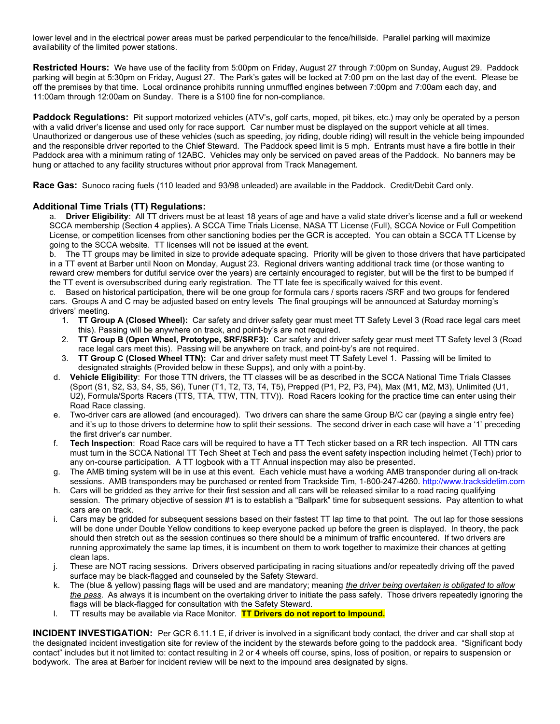lower level and in the electrical power areas must be parked perpendicular to the fence/hillside. Parallel parking will maximize availability of the limited power stations.

Restricted Hours: We have use of the facility from 5:00pm on Friday, August 27 through 7:00pm on Sunday, August 29. Paddock parking will begin at 5:30pm on Friday, August 27. The Park's gates will be locked at 7:00 pm on the last day of the event. Please be off the premises by that time. Local ordinance prohibits running unmuffled engines between 7:00pm and 7:00am each day, and 11:00am through 12:00am on Sunday. There is a \$100 fine for non-compliance.

Paddock Regulations: Pit support motorized vehicles (ATV's, golf carts, moped, pit bikes, etc.) may only be operated by a person with a valid driver's license and used only for race support. Car number must be displayed on the support vehicle at all times. Unauthorized or dangerous use of these vehicles (such as speeding, joy riding, double riding) will result in the vehicle being impounded and the responsible driver reported to the Chief Steward. The Paddock speed limit is 5 mph. Entrants must have a fire bottle in their Paddock area with a minimum rating of 12ABC. Vehicles may only be serviced on paved areas of the Paddock. No banners may be hung or attached to any facility structures without prior approval from Track Management.

Race Gas: Sunoco racing fuels (110 leaded and 93/98 unleaded) are available in the Paddock. Credit/Debit Card only.

## Additional Time Trials (TT) Regulations:

a. Driver Eligibility: All TT drivers must be at least 18 years of age and have a valid state driver's license and a full or weekend SCCA membership (Section 4 applies). A SCCA Time Trials License, NASA TT License (Full), SCCA Novice or Full Competition License, or competition licenses from other sanctioning bodies per the GCR is accepted. You can obtain a SCCA TT License by going to the SCCA website. TT licenses will not be issued at the event.

b. The TT groups may be limited in size to provide adequate spacing. Priority will be given to those drivers that have participated in a TT event at Barber until Noon on Monday, August 23. Regional drivers wanting additional track time (or those wanting to reward crew members for dutiful service over the years) are certainly encouraged to register, but will be the first to be bumped if the TT event is oversubscribed during early registration. The TT late fee is specifically waived for this event.

c. Based on historical participation, there will be one group for formula cars / sports racers /SRF and two groups for fendered cars. Groups A and C may be adjusted based on entry levels The final groupings will be announced at Saturday morning's drivers' meeting.

- 1. TT Group A (Closed Wheel): Car safety and driver safety gear must meet TT Safety Level 3 (Road race legal cars meet this). Passing will be anywhere on track, and point-by's are not required.
- 2. TT Group B (Open Wheel, Prototype, SRF/SRF3): Car safety and driver safety gear must meet TT Safety level 3 (Road race legal cars meet this). Passing will be anywhere on track, and point-by's are not required.
- 3. TT Group C (Closed Wheel TTN): Car and driver safety must meet TT Safety Level 1. Passing will be limited to designated straights (Provided below in these Supps), and only with a point-by.
- d. Vehicle Eligibility: For those TTN drivers, the TT classes will be as described in the SCCA National Time Trials Classes (Sport (S1, S2, S3, S4, S5, S6), Tuner (T1, T2, T3, T4, T5), Prepped (P1, P2, P3, P4), Max (M1, M2, M3), Unlimited (U1, U2), Formula/Sports Racers (TTS, TTA, TTW, TTN, TTV)). Road Racers looking for the practice time can enter using their Road Race classing.
- e. Two-driver cars are allowed (and encouraged). Two drivers can share the same Group B/C car (paying a single entry fee) and it's up to those drivers to determine how to split their sessions. The second driver in each case will have a '1' preceding the first driver's car number.
- f. Tech Inspection: Road Race cars will be required to have a TT Tech sticker based on a RR tech inspection. All TTN cars must turn in the SCCA National TT Tech Sheet at Tech and pass the event safety inspection including helmet (Tech) prior to any on-course participation. A TT logbook with a TT Annual inspection may also be presented.
- g. The AMB timing system will be in use at this event. Each vehicle must have a working AMB transponder during all on-track sessions. AMB transponders may be purchased or rented from Trackside Tim, 1-800-247-4260. http://www.tracksidetim.com
- h. Cars will be gridded as they arrive for their first session and all cars will be released similar to a road racing qualifying session. The primary objective of session #1 is to establish a "Ballpark" time for subsequent sessions. Pay attention to what cars are on track.
- Cars may be gridded for subsequent sessions based on their fastest TT lap time to that point. The out lap for those sessions will be done under Double Yellow conditions to keep everyone packed up before the green is displayed. In theory, the pack should then stretch out as the session continues so there should be a minimum of traffic encountered. If two drivers are running approximately the same lap times, it is incumbent on them to work together to maximize their chances at getting clean laps.
- j. These are NOT racing sessions. Drivers observed participating in racing situations and/or repeatedly driving off the paved surface may be black-flagged and counseled by the Safety Steward.
- k. The (blue & yellow) passing flags will be used and are mandatory; meaning the driver being overtaken is obligated to allow the pass. As always it is incumbent on the overtaking driver to initiate the pass safely. Those drivers repeatedly ignoring the flags will be black-flagged for consultation with the Safety Steward.
- I. TT results may be available via Race Monitor. TT Drivers do not report to Impound.

INCIDENT INVESTIGATION: Per GCR 6.11.1 E, if driver is involved in a significant body contact, the driver and car shall stop at the designated incident investigation site for review of the incident by the stewards before going to the paddock area. "Significant body contact" includes but it not limited to: contact resulting in 2 or 4 wheels off course, spins, loss of position, or repairs to suspension or bodywork. The area at Barber for incident review will be next to the impound area designated by signs.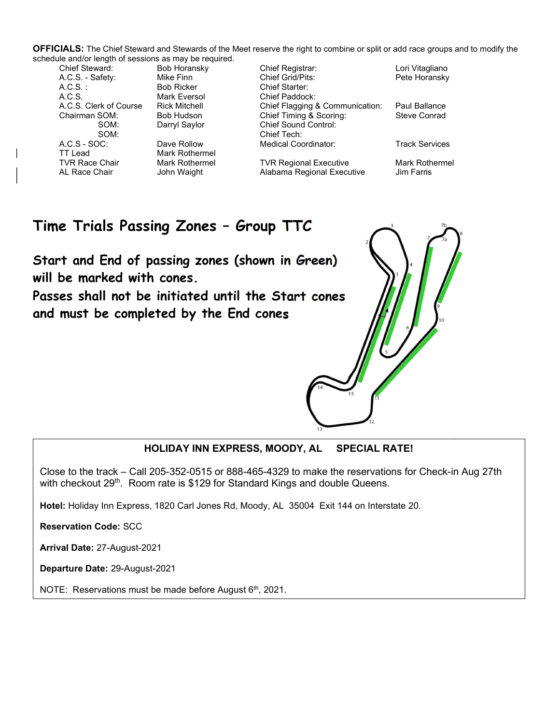OFFICIALS: The Chief Steward and Stewards of the Meet reserve the right to combine or split or add race groups and to modify the schedule and/or length of sessions as may be required.

A.C.S.: Bob Ricker Chief Starter: A.C.S. Mark Eversol Chief Paddock: TT Lead **Mark Rothermel**<br>TVR Race Chair **Mark Rothermel** 

SOM: Chief Tech:

Chief Registrar: Lori Vitagliano A.C.S. - Safety: Mike Finn Chief Grid/Pits: Pete Horansky A.C.S. Clerk of Course Rick Mitchell Chief Flagging & Communication: Paul Ballance Chairman SOM: Bob Hudson Chief Timing & Scoring: Steve Conrad SOM: Darryl Saylor Chief Sound Control: A.C.S - SOC: Dave Rollow Medical Coordinator: Track Services

Mark Rothermel **TVR Regional Executive Mark Rothermel** AL Race Chair **John Waight** Alabama Regional Executive Jim Farris

# Time Trials Passing Zones – Group TTC

Start and End of passing zones (shown in Green) will be marked with cones.

Passes shall not be initiated until the Start cones and must be completed by the End cones

# HOLIDAY INN EXPRESS, MOODY, AL SPECIAL RATE!

Close to the track – Call 205-352-0515 or 888-465-4329 to make the reservations for Check-in Aug 27th with checkout 29<sup>th</sup>. Room rate is \$129 for Standard Kings and double Queens.

Hotel: Holiday Inn Express, 1820 Carl Jones Rd, Moody, AL 35004 Exit 144 on Interstate 20.

Reservation Code: SCC

Arrival Date: 27-August-2021

Departure Date: 29-August-2021

NOTE: Reservations must be made before August 6<sup>th</sup>, 2021.